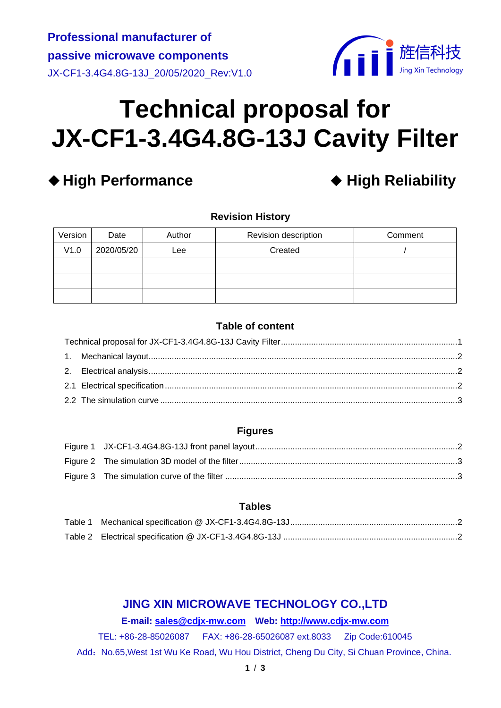

# <span id="page-0-0"></span>**Technical proposal for JX-CF1-3.4G4.8G-13J Cavity Filter**

# ◆ High Performance **◆ High Reliability**

**Revision History**

| Version | Date       | Author | Revision description | Comment |
|---------|------------|--------|----------------------|---------|
| V1.0    | 2020/05/20 | $e$ ee | Created              |         |
|         |            |        |                      |         |
|         |            |        |                      |         |
|         |            |        |                      |         |

# **Table of content**

#### **Figures**

# **Tables**

# **JING XIN MICROWAVE TECHNOLOGY CO.,LTD**

#### **E-mail: [sales@cdjx-mw.com](mailto:sales@cdjx-mw.com) Web: [http://www.cdjx-mw.com](http://www.cdjx-mw.com/)**

TEL: +86-28-85026087 FAX: +86-28-65026087 ext.8033 Zip Code:610045

Add: No.65, West 1st Wu Ke Road, Wu Hou District, Cheng Du City, Si Chuan Province, China.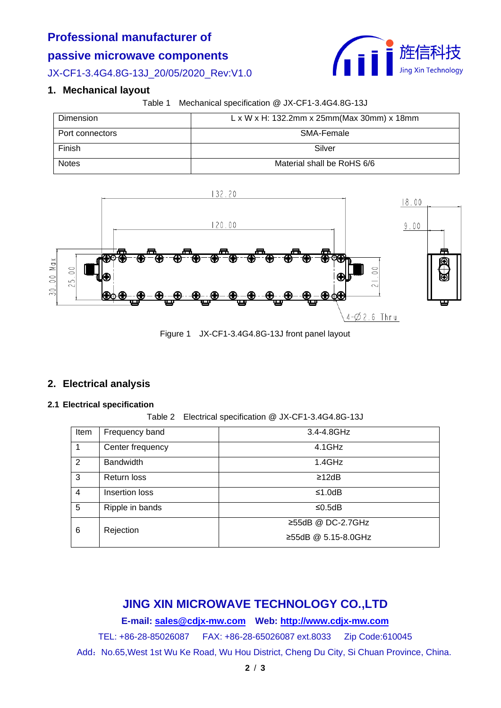# **Professional manufacturer of**

## **passive microwave components**

JX-CF1-3.4G4.8G-13J\_20/05/2020\_Rev:V1.0

## <span id="page-1-0"></span>**1. Mechanical layout**

Table 1 Mechanical specification @ JX-CF1-3.4G4.8G-13J

<span id="page-1-4"></span>

| Dimension       | $L \times W \times H$ : 132.2mm x 25mm(Max 30mm) x 18mm |
|-----------------|---------------------------------------------------------|
| Port connectors | SMA-Female                                              |
| Finish          | Silver                                                  |
| <b>Notes</b>    | Material shall be RoHS 6/6                              |



Figure 1 JX-CF1-3.4G4.8G-13J front panel layout

#### <span id="page-1-3"></span><span id="page-1-1"></span>**2. Electrical analysis**

#### <span id="page-1-5"></span><span id="page-1-2"></span>**2.1 Electrical specification**

Table 2 Electrical specification @ JX-CF1-3.4G4.8G-13J

| Item           | Frequency band   | 3.4-4.8GHz              |
|----------------|------------------|-------------------------|
|                | Center frequency | 4.1GHz                  |
| 2              | <b>Bandwidth</b> | 1.4GHz                  |
| 3              | Return loss      | $\geq$ 12dB             |
| $\overline{4}$ | Insertion loss   | ≤1.0dB                  |
| 5              | Ripple in bands  | ≤0.5dB                  |
| 6              | Rejection        | $\geq$ 55dB @ DC-2.7GHz |
|                |                  | ≥55dB @ 5.15-8.0GHz     |

# **JING XIN MICROWAVE TECHNOLOGY CO.,LTD**

**E-mail: [sales@cdjx-mw.com](mailto:sales@cdjx-mw.com) Web: [http://www.cdjx-mw.com](http://www.cdjx-mw.com/)**

TEL: +86-28-85026087 FAX: +86-28-65026087 ext.8033 Zip Code:610045

Add: No.65, West 1st Wu Ke Road, Wu Hou District, Cheng Du City, Si Chuan Province, China.